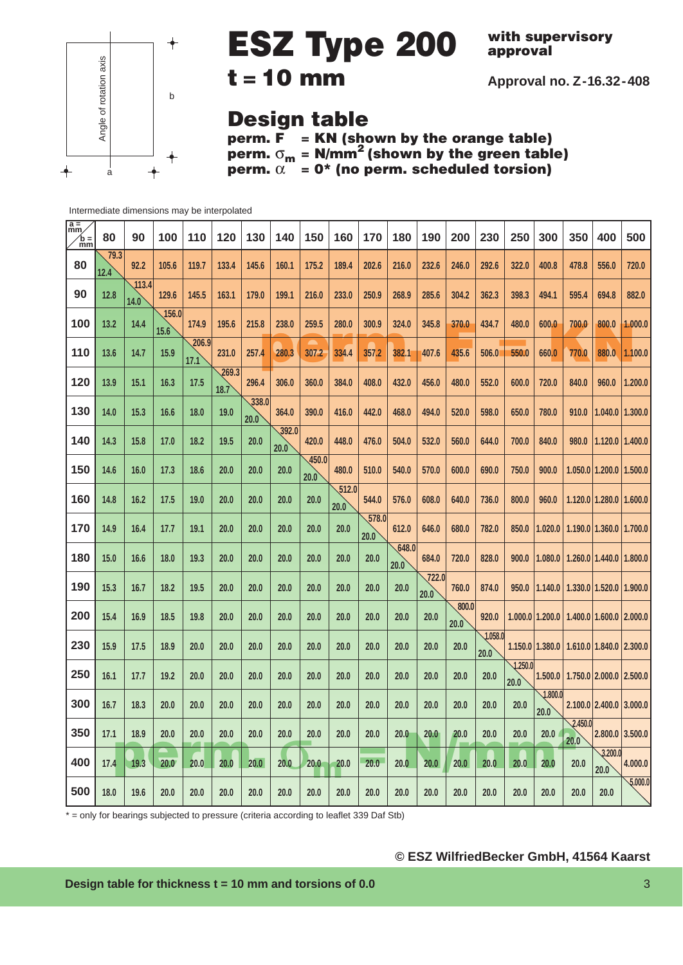

**with supervisory approval**

**Approval no. Z-16.32-408**

## **Design table**

**perm. F = KN (shown by the orange table) perm.** σ**<sup>m</sup> = N/mm2 (shown by the green table) perm.**  $\alpha$  = 0\* (no perm. scheduled torsion)

Intermediate dimensions may be interpolated

| $\frac{a}{mm}$<br>$\ln \frac{1}{m}$ | 80           | 90            | 100           | 110           | 120           | 130           | 140           | 150                    | 160           | 170           | 180           | 190           | 200           | 230             | 250             | 300                 | 350             | 400                           | 500             |
|-------------------------------------|--------------|---------------|---------------|---------------|---------------|---------------|---------------|------------------------|---------------|---------------|---------------|---------------|---------------|-----------------|-----------------|---------------------|-----------------|-------------------------------|-----------------|
| 80                                  | 79.3<br>12.4 | 92.2          | 105.6         | 119.7         | 133.4         | 145.6         | 160.1         | 175.2                  | 189.4         | 202.6         | 216.0         | 232.6         | 246.0         | 292.6           | 322.0           | 400.8               | 478.8           | 556.0                         | 720.0           |
| 90                                  | 12.8         | 113.4<br>14.0 | 129.6         | 145.5         | 163.1         | 179.0         | 199.1         | 216.0                  | 233.0         | 250.9         | 268.9         | 285.6         | 304.2         | 362.3           | 398.3           | 494.1               | 595.4           | 694.8                         | 882.0           |
| 100                                 | 13.2         | 14.4          | 156.0<br>15.6 | 174.9         | 195.6         | 215.8         | 238.0         | 259.5                  | 280.0         | 300.9         | 324.0         | 345.8         | 370.0         | 434.7           | 480.0           | 600.0               | 700.0           | 800.0                         | 1.000.0         |
| 110                                 | 13.6         | 14.7          | 15.9          | 206.9<br>17.1 | 231.0         | 257.4         | 280.3         | 307.2                  | 334.4         | 357.2         | 382.1         | 407.6         | 435.6         | 506.0           | 550.0           | 660.0               | 770.0           | 880.0                         | 1.100.0         |
| 120                                 | 13.9         | 15.1          | 16.3          | 17.5          | 269.3<br>18.7 | 296.4         | 306.0         | 360.0                  | 384.0         | 408.0         | 432.0         | 456.0         | 480.0         | 552.0           | 600.0           | 720.0               | 840.0           | 960.0                         | 1.200.0         |
| 130                                 | 14.0         | 15.3          | 16.6          | 18.0          | 19.0          | 338.0<br>20.0 | 364.0         | 390.0                  | 416.0         | 442.0         | 468.0         | 494.0         | 520.0         | 598.0           | 650.0           | 780.0               | 910.0           | 1.040.0                       | 1.300.0         |
| 140                                 | 14.3         | 15.8          | 17.0          | 18.2          | 19.5          | 20.0          | 392.0<br>20.0 | 420.0                  | 448.0         | 476.0         | 504.0         | 532.0         | 560.0         | 644.0           | 700.0           | 840.0               | 980.0           | 1.120.0                       | 1.400.0         |
| 150                                 | 14.6         | 16.0          | 17.3          | 18.6          | 20.0          | 20.0          | 20.0          | $\sqrt{450.0}$<br>20.0 | 480.0         | 510.0         | 540.0         | 570.0         | 600.0         | 690.0           | 750.0           | 900.0               |                 | $1.050.0$   1.200.0           | 1.500.0         |
| 160                                 | 14.8         | 16.2          | 17.5          | 19.0          | 20.0          | 20.0          | 20.0          | 20.0                   | 512.0<br>20.0 | 544.0         | 576.0         | 608.0         | 640.0         | 736.0           | 800.0           | 960.0               |                 | $1.120.0$   1.280.0   1.600.0 |                 |
| 170                                 | 14.9         | 16.4          | 17.7          | 19.1          | 20.0          | 20.0          | 20.0          | 20.0                   | 20.0          | 578.0<br>20.0 | 612.0         | 646.0         | 680.0         | 782.0           | 850.0           | 1.020.0             |                 | $1.190.0$   1.360.0           | 1.700.0         |
| 180                                 | 15.0         | 16.6          | 18.0          | 19.3          | 20.0          | 20.0          | 20.0          | 20.0                   | 20.0          | 20.0          | 648.0<br>20.0 | 684.0         | 720.0         | 828.0           | 900.0           | 1.080.0             |                 | $1,260,0$   $1,440,0$         | 1.800,0         |
| 190                                 | 15.3         | 16.7          | 18.2          | 19.5          | 20.0          | 20.0          | 20.0          | 20.0                   | 20.0          | 20.0          | 20.0          | 722.0<br>20.0 | 760.0         | 874.0           | 950.0           | 1.140.0             |                 | 1.330.011.520.0               | 1.900.0         |
| 200                                 | 15.4         | 16.9          | 18.5          | 19.8          | 20.0          | 20.0          | 20.0          | 20.0                   | 20.0          | 20.0          | 20.0          | 20.0          | 800.0<br>20.0 | 920.0           |                 | 1.000.0 1.200.0     |                 | $1.400.0$   1.600.0   2.000.0 |                 |
| 230                                 | 15.9         | 17.5          | 18.9          | 20.0          | 20.0          | 20.0          | 20.0          | 20.0                   | 20.0          | 20.0          | 20.0          | 20.0          | 20.0          | 1.058.0<br>20.0 |                 | $1.150.0$   1.380.0 |                 | $1.610.0$   1.840.0   2.300.0 |                 |
| 250                                 | 16.1         | 17.7          | 19.2          | 20.0          | 20.0          | 20.0          | 20.0          | 20.0                   | 20.0          | 20.0          | 20.0          | 20.0          | 20.0          | 20.0            | 1.250.0<br>20.0 | 1.500.0             |                 | 1.750.0 2.000.0               | 2.500,0         |
| 300                                 | 16.7         | 18.3          | 20.0          | 20.0          | 20.0          | 20.0          | 20.0          | 20.0                   | 20.0          | 20.0          | 20.0          | 20.0          | 20.0          | 20.0            | 20.0            | 1.800.0<br>20.0     |                 | $2.100.0$   2.400.0           | 3.000.0         |
| 350                                 | 17.1         | 18.9          | 20.0          | 20.0          | 20.0          | 20.0          | 20.0          | 20.0                   | 20.0          | 20.0          | 20.0          | 20.0          | 20.0          | 20.0            | 20.0            | 20.0                | 2.450.0<br>20.0 |                               | 2.800.0 3.500.0 |
| 400                                 | 17.4         | 19.3          | 20.0          | 20.0          | 20.0          | 20.0          | 20.0          | 20.0                   | 20.0          | 20.0          | 20.0          | 20.0          | 20.0          | 20.0            | 20.0            | 20.0                | 20.0            | 3.200.0<br>20.0               | 4.000.0         |
| 500                                 | 18.0         | 19.6          | 20.0          | 20.0          | 20.0          | 20.0          | 20.0          | 20.0                   | 20.0          | 20.0          | 20.0          | 20.0          | 20.0          | 20.0            | 20.0            | 20.0                | 20.0            | 20.0                          | 5,000.0         |

\* = only for bearings subjected to pressure (criteria according to leaflet 339 Daf Stb)

**© ESZ WilfriedBecker GmbH, 41564 Kaarst**

**Design table for thickness t = 10 mm and torsions of 0.0** 3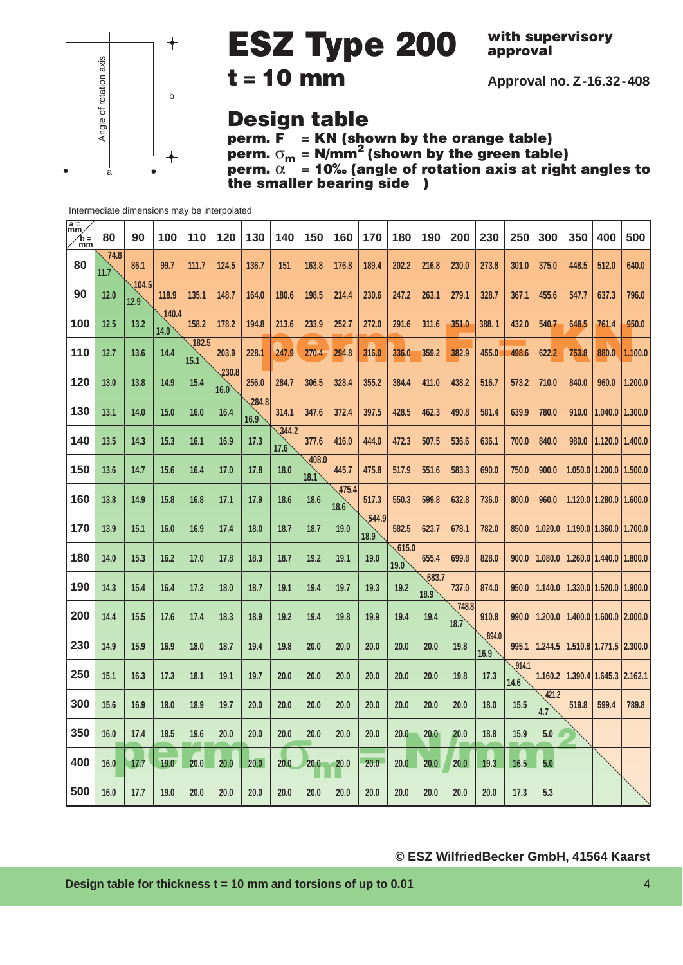

**with supervisory approval**

**Approval no. Z-16.32-408**

## **Design table**

**perm. F = KN (shown by the orange table) perm.** σ**<sup>m</sup> = N/mm2 (shown by the green table) perm.** α **= 10‰ (angle of rotation axis at right angles to the smaller bearing side** )

| $\sqrt{\frac{a}{nm}}$<br>$\ln \frac{1}{m}$ | 80           | 90            | 100           | 110           | 120           | 130           | 140           | 150               | 160          | 170               | 180          | 190          | 200          | 230   | 250   | 300              | 350   | 400                               | 500     |
|--------------------------------------------|--------------|---------------|---------------|---------------|---------------|---------------|---------------|-------------------|--------------|-------------------|--------------|--------------|--------------|-------|-------|------------------|-------|-----------------------------------|---------|
| 80                                         | 74.8<br>11.7 | 86.1          | 99.7          | 111.7         | 124.5         | 136.7         | 151           | 163.8             | 176.8        | 189.4             | 202.2        | 216.8        | 230.0        | 273.8 | 301.0 | 375.0            | 448.5 | 512.0                             | 640.0   |
| 90                                         | 12.0         | 104.5<br>12.9 | 118.9         | 135.1         | 148.7         | 164.0         | 180.6         | 198.5             | 214.4        | 230.6             | 247.2        | 263.1        | 279.1        | 328.7 | 367.1 | 455.6            | 547.7 | 637.3                             | 796.0   |
| 100                                        | 12.5         | 13.2          | 140.4<br>14.0 | 158.2         | 178.2         | 194.8         | 213.6         | 233.9             | 252.7        | 272.0             | 291.6        | 311.6        | 351.0        | 388.1 | 432.0 | 540.7            | 648.5 | 761.4                             | 950.0   |
| 110                                        | 12.7         | 13.6          | 14.4          | 182.5<br>15.1 | 203.9         | 228.1         | 247.9         | 270.4             | 294.8        | 316.0             | 336.0        | 359.2        | 382.9        | 455.0 | 498.6 | 622.2            | 753.8 | 880.0                             | 1.100.0 |
| 120                                        | 13.0         | 13.8          | 14.9          | 15.4          | 230.8<br>16.0 | 256.0         | 284.7         | 306.5             | 328.4        | 355.2             | 384.4        | 411.0        | 438.2        | 516.7 | 573.2 | 710.0            | 840.0 | 960.0                             | 1.200.0 |
| 130                                        | 13.1         | 14.0          | 15.0          | 16.0          | 16.4          | 284.8<br>16.9 | 314.1         | 347.6             | 372.4        | 397.5             | 428.5        | 462.3        | 490.8        | 581.4 | 639.9 | 780.0            | 910.0 | $1.040.0$   1.300.0               |         |
| 140                                        | 13.5         | 14.3          | 15.3          | 16.1          | 16.9          | 17.3          | 344.2<br>17.6 | 377.6             | 416.0        | 444.0             | 472.3        | 507.5        | 536.6        | 636.1 | 700.0 | 840.0            | 980.0 | $1.120.0$   1.400.0               |         |
| 150                                        | 13.6         | 14.7          | 15.6          | 16.4          | 17.0          | 17.8          | 18.0          | $\frac{408.0}{5}$ | 445.7        | 475.8             | 517.9        | 551.6        | 583.3        | 690.0 | 750.0 | 900.0            |       | 1.050.0   1.200.0   1.500.0       |         |
| 160                                        | 13.8         | 14.9          | 15.8          | 16.8          | 17.1          | 17.9          | 18.6          | 18.1<br>18.6      | 475.4        | 517.3             | 550.3        | 599.8        | 632.8        | 736.0 | 800.0 | 960.0            |       | $1.120.0$   1.280.0   1.600.0     |         |
| 170                                        | 13.9         | 15.1          | 16.0          | 16.9          | 17.4          | 18.0          | 18.7          | 18.7              | 18.6<br>19.0 | 544.9             | 582.5        | 623.7        | 678.1        | 782.0 | 850.0 | 1.020.0          |       | 1.190.0 1.360.0 1.700.0           |         |
| 180                                        | 14.0         | 15.3          | 16.2          | 17.0          | 17.8          | 18.3          | 18.7          | 19.2              | 19.1         | 18.9<br>19.0      | 615.0        | 655.4        | 699.8        | 828.0 | 900.0 | 1.080.0          |       | $1.260.0$   $1.440.0$   $1.800.0$ |         |
| 190                                        | 14.3         | 15.4          | 16.4          | 17.2          | 18.0          | 18.7          | 19.1          | 19.4              | 19.7         | 19.3              | 19.0<br>19.2 | 683.7        | 737.0        | 874.0 | 950.0 | 1.140.0          |       | 1.330.0 1.520.0 1.900.0           |         |
| 200                                        | 14.4         | 15.5          | 17.6          | 17.4          | 18.3          | 18.9          | 19.2          | 19.4              | 19.8         | 19.9              | 19.4         | 18.9<br>19.4 | 748.8        | 910.8 | 990.0 | 1.200.0          |       | 1.400.0 1.600.0 2.000.0           |         |
| 230                                        | 14.9         | 15.9          | 16.9          | 18.0          | 18.7          | 19.4          | 19.8          | 20.0              | 20.0         | 20.0              | 20.0         | 20.0         | 18.7<br>19.8 | 894.0 | 995.1 | 1.244.5          |       | 1.510.8 1.771.5 2.300.0           |         |
| 250                                        |              |               |               |               |               |               |               |                   |              |                   |              |              |              | 16.9  | 914.1 |                  |       |                                   |         |
|                                            | 15.1         | 16.3          | 17.3          | 18.1          | 19.1          | 19.7          | 20.0          | 20.0              | 20.0         | 20.0              | 20.0         | 20.0         | 19.8         | 17.3  | 14.6  | 1.160.2<br>421.2 |       | $1.390.4$   1.645.3   2.162.1     |         |
| 300                                        | 15.6         | 16.9          | 18.0          | 18.9          | 19.7          | 20.0          | 20.0          | 20.0              | 20.0         | 20.0              | 20.0         | 20.0         | 20.0         | 18.0  | 15.5  | 4.7              | 519.8 | 599.4                             | 789.8   |
| 350                                        | 16.0         | 17.4          | 18.5          | 19.6          | 20.0          | 20.0          | 20.0          | 20.0              | 20.0         | 20.0              | 20.0         | 20.0         | 20.0         | 18.8  | 15.9  | 5.0              |       |                                   |         |
| 400                                        | 16.0         | 17.7          | 19.0          | 20.0          | 20.0          | 20.0          | 20.0          | 20.0              | 20.0         | 20.0 <sub>1</sub> | 20.0         | 20.0         | 20.0         | 19.3  | 16.5  | 5.0              |       |                                   |         |
| 500                                        | 16.0         | 17.7          | 19.0          | 20.0          | 20.0          | 20.0          | 20.0          | 20.0              | 20.0         | 20.0              | 20.0         | 20.0         | 20.0         | 20.0  | 17.3  | 5.3              |       |                                   |         |

Intermediate dimensions may be interpolated

### **© ESZ WilfriedBecker GmbH, 41564 Kaarst**

**Design table for thickness t = 10 mm and torsions of up to 0.01** 4 4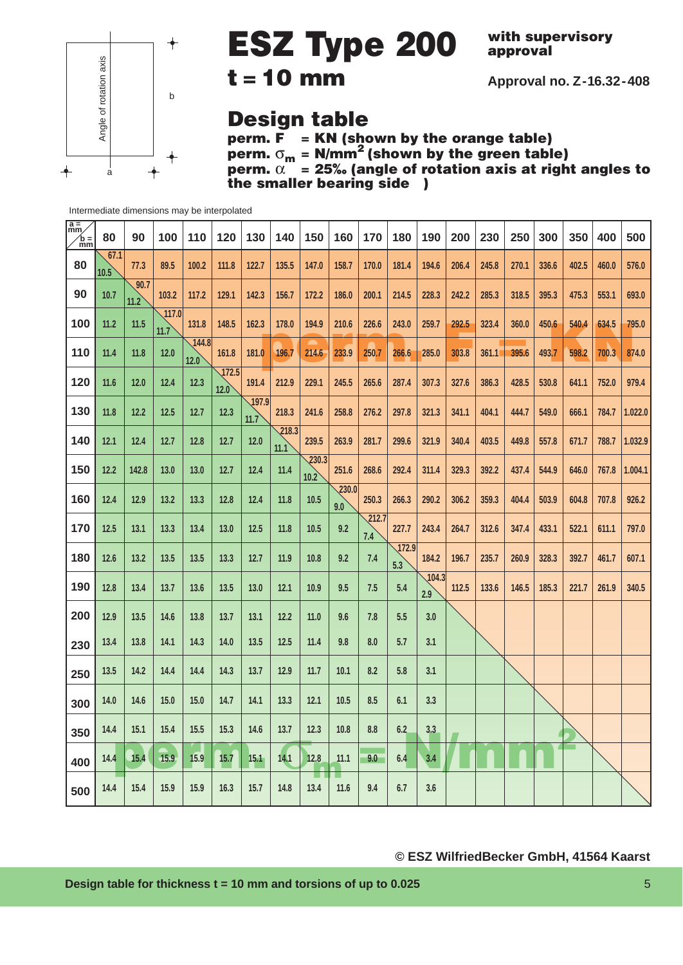

**with supervisory approval**

**Approval no. Z-16.32-408**

### **Design table**

**perm. F = KN (shown by the orange table) perm.** σ**<sup>m</sup> = N/mm2 (shown by the green table) perm.** α **= 25‰ (angle of rotation axis at right angles to the smaller bearing side** )

| $\frac{a}{mm}$<br>$\hat{b}$ = | 80           | 90           | 100           | 110           | 120                    | 130           | 140           | 150                        | 160                       | 170          | 180          | 190          | 200   | 230   | 250   | 300   | 350   | 400   | 500     |
|-------------------------------|--------------|--------------|---------------|---------------|------------------------|---------------|---------------|----------------------------|---------------------------|--------------|--------------|--------------|-------|-------|-------|-------|-------|-------|---------|
| 80                            | 67.1<br>10.5 | 77.3         | 89.5          | 100.2         | 111.8                  | 122.7         | 135.5         | 147.0                      | 158.7                     | 170.0        | 181.4        | 194.6        | 206.4 | 245.8 | 270.1 | 336.6 | 402.5 | 460.0 | 576.0   |
| 90                            | 10.7         | 90.7<br>11.2 | 103.2         | 117.2         | 129.1                  | 142.3         | 156.7         | 172.2                      | 186.0                     | 200.1        | 214.5        | 228.3        | 242.2 | 285.3 | 318.5 | 395.3 | 475.3 | 553.1 | 693.0   |
| 100                           | 11.2         | 11.5         | 117.0<br>11.7 | 131.8         | 148.5                  | 162.3         | 178.0         | 194.9                      | 210.6                     | 226.6        | 243.0        | 259.7        | 292.5 | 323.4 | 360.0 | 450.6 | 540.4 | 634.5 | 795.0   |
| 110                           | 11.4         | 11.8         | 12.0          | 144.8<br>12.0 | 161.8                  | 181.0         | 196.7         | 214.6                      | 233.9                     | 250.7        | 266.6        | 285.0        | 303.8 | 361.1 | 395.6 | 493.7 | 598.2 | 700.3 | 874.0   |
| 120                           | 11.6         | 12.0         | 12.4          | 12.3          | $\sqrt{172.5}$<br>12.0 | 191.4         | 212.9         | 229.1                      | 245.5                     | 265.6        | 287.4        | 307.3        | 327.6 | 386.3 | 428.5 | 530.8 | 641.1 | 752.0 | 979.4   |
| 130                           | 11.8         | 12.2         | 12.5          | 12.7          | 12.3                   | 197.9<br>11.7 | 218.3         | 241.6                      | 258.8                     | 276.2        | 297.8        | 321.3        | 341.1 | 404.1 | 444.7 | 549.0 | 666.1 | 784.7 | 1.022.0 |
| 140                           | 12.1         | 12.4         | 12.7          | 12.8          | 12.7                   | 12.0          | 218.3<br>11.1 | 239.5                      | 263.9                     | 281.7        | 299.6        | 321.9        | 340.4 | 403.5 | 449.8 | 557.8 | 671.7 | 788.7 | 1.032.9 |
| 150                           | 12.2         | 142.8        | 13.0          | 13.0          | 12.7                   | 12.4          | 11.4          | $\overline{230.3}$<br>10.2 | 251.6                     | 268.6        | 292.4        | 311.4        | 329.3 | 392.2 | 437.4 | 544.9 | 646.0 | 767.8 | 1.004.1 |
| 160                           | 12.4         | 12.9         | 13.2          | 13.3          | 12.8                   | 12.4          | 11.8          | 10.5                       | $\overline{230.0}$<br>9.0 | 250.3        | 266.3        | 290.2        | 306.2 | 359.3 | 404.4 | 503.9 | 604.8 | 707.8 | 926.2   |
| 170                           | 12.5         | 13.1         | 13.3          | 13.4          | 13.0                   | 12.5          | 11.8          | 10.5                       | 9.2                       | 212.7<br>7.4 | 227.7        | 243.4        | 264.7 | 312.6 | 347.4 | 433.1 | 522.1 | 611.1 | 797.0   |
| 180                           | 12.6         | 13.2         | 13.5          | 13.5          | 13.3                   | 12.7          | 11.9          | 10.8                       | 9.2                       | 7.4          | 172.9<br>5.3 | 184.2        | 196.7 | 235.7 | 260.9 | 328.3 | 392.7 | 461.7 | 607.1   |
| 190                           | 12.8         | 13.4         | 13.7          | 13.6          | 13.5                   | 13.0          | 12.1          | 10.9                       | 9.5                       | 7.5          | 5.4          | 104.3<br>2.9 | 112.5 | 133.6 | 146.5 | 185.3 | 221.7 | 261.9 | 340.5   |
| 200                           | 12.9         | 13.5         | 14.6          | 13.8          | 13.7                   | 13.1          | 12.2          | 11.0                       | 9.6                       | 7.8          | 5.5          | 3.0          |       |       |       |       |       |       |         |
| 230                           | 13.4         | 13.8         | 14.1          | 14.3          | 14.0                   | 13.5          | 12.5          | 11.4                       | 9.8                       | 8.0          | 5.7          | 3.1          |       |       |       |       |       |       |         |
| 250                           | 13.5         | 14.2         | 14.4          | 14.4          | 14.3                   | 13.7          | 12.9          | 11.7                       | 10.1                      | 8.2          | 5.8          | 3.1          |       |       |       |       |       |       |         |
| 300                           | 14.0         | 14.6         | 15.0          | 15.0          | 14.7                   | 14.1          | 13.3          | 12.1                       | 10.5                      | 8.5          | 6.1          | 3.3          |       |       |       |       |       |       |         |
| 350                           | 14.4         | 15.1         | 15.4          | 15.5          | 15.3                   | 14.6          | 13.7          | 12.3                       | 10.8                      | 8.8          | 6.2          | 3.3          |       |       |       |       |       |       |         |
| 400                           | 14.4         | 15.4         | 15.9          | 15.9          | 15.7                   | 15.1          | 14.1          | 12.8                       | 11.1                      | 9.0          | 6.4          | 3.4          |       |       |       |       |       |       |         |
| 500                           | 14.4         | 15.4         | 15.9          | 15.9          | 16.3                   | 15.7          | 14.8          | 13.4                       | 11.6                      | 9.4          | 6.7          | 3.6          |       |       |       |       |       |       |         |

Intermediate dimensions may be interpolated

### **© ESZ WilfriedBecker GmbH, 41564 Kaarst**